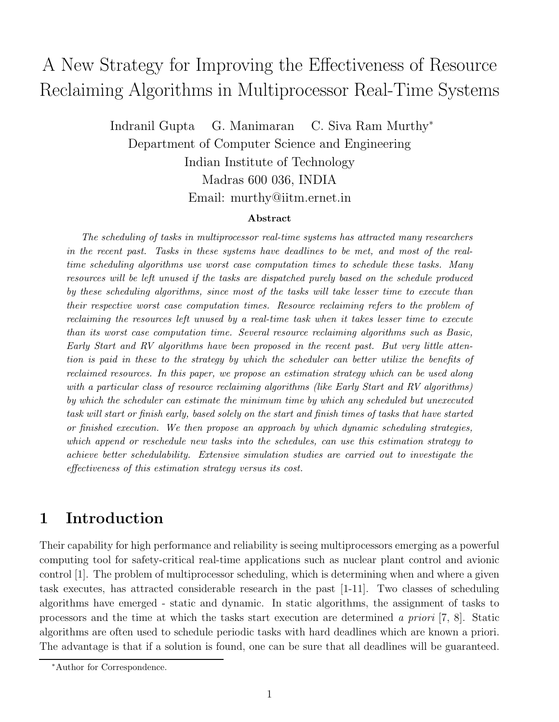# Resolution of Algorithms in Multiprocessor Real Time Systems  $\beta$  -  $\beta$  -  $\beta$  -  $\beta$  -  $\beta$  -  $\beta$  -  $\beta$  -  $\beta$  -  $\beta$  -  $\beta$  -  $\beta$  -  $\beta$  -  $\beta$  -  $\beta$  -  $\beta$  -  $\beta$  -  $\beta$  -  $\beta$  -  $\beta$  -  $\beta$  -  $\beta$  -  $\beta$  -  $\beta$  -  $\beta$  -  $\beta$  -  $\beta$  -  $\beta$  -  $\beta$  -  $\beta$  -  $\beta$  -  $\beta$  -  $\beta$

Indranil Gupta G. Manimaran C. Siva Ram Murthy<sup>∗</sup> Department of Computer Science and Engineering Indian Institute of Technology Madras 600 036, INDIA Email: murthy@iitm.ernet.in

#### **Abstract**

*The scheduling of tasks in multiprocessor real-time systems has attracted many researchers in the recent past. Tasks in these systems have deadlines to be met, and most of the realtime scheduling algorithms use worst case computation times to schedule these tasks. Many resources will be left unused if the tasks are dispatched purely based on the schedule produced by these scheduling algorithms, since most of the tasks will take lesser time to execute than their respective worst case computation times. Resource reclaiming refers to the problem of reclaiming the resources left unused by a real-time task when it takes lesser time to execute than its worst case computation time. Several resource reclaiming algorithms such as Basic, Early Start and RV algorithms have been proposed in the recent past. But very little attention is paid in these to the strategy by which the scheduler can better utilize the benefits of reclaimed resources. In this paper, we propose an estimation strategy which can be used along with a particular class of resource reclaiming algorithms (like Early Start and RV algorithms) by which the scheduler can estimate the minimum time by which any scheduled but unexecuted task will start or finish early, based solely on the start and finish times of tasks that have started or finished execution. We then propose an approach by which dynamic scheduling strategies, which append or reschedule new tasks into the schedules, can use this estimation strategy to achieve better schedulability. Extensive simulation studies are carried out to investigate the effectiveness of this estimation strategy versus its cost.*

## **1 Introduction**

Their capability for high performance and reliability is seeing multiprocessors emerging as a powerful computing tool for safety-critical real-time applications such as nuclear plant control and avionic control [1]. The problem of multiprocessor scheduling, which is determining when and where a given task executes, has attracted considerable research in the past [1-11]. Two classes of scheduling algorithms have emerged - static and dynamic. In static algorithms, the assignment of tasks to processors and the time at which the tasks start execution are determined a priori [7, 8]. Static algorithms are often used to schedule periodic tasks with hard deadlines which are known a priori. The advantage is that if a solution is found, one can be sure that all deadlines will be guaranteed.

<sup>∗</sup>Author for Correspondence.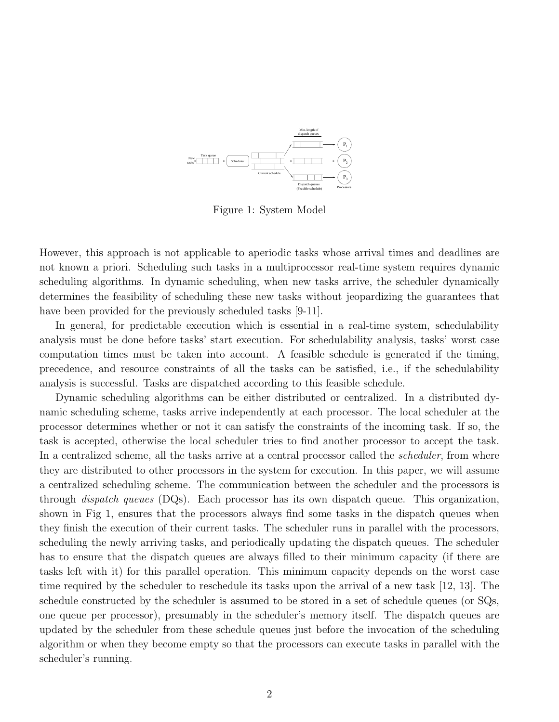

Figure 1: System Model

However, this approach is not applicable to aperiodic tasks whose arrival times and deadlines are not known a priori. Scheduling such tasks in a multiprocessor real-time system requires dynamic scheduling algorithms. In dynamic scheduling, when new tasks arrive, the scheduler dynamically determines the feasibility of scheduling these new tasks without jeopardizing the guarantees that have been provided for the previously scheduled tasks [9-11].

In general, for predictable execution which is essential in a real-time system, schedulability analysis must be done before tasks' start execution. For schedulability analysis, tasks' worst case computation times must be taken into account. A feasible schedule is generated if the timing, precedence, and resource constraints of all the tasks can be satisfied, i.e., if the schedulability analysis is successful. Tasks are dispatched according to this feasible schedule.

Dynamic scheduling algorithms can be either distributed or centralized. In a distributed dynamic scheduling scheme, tasks arrive independently at each processor. The local scheduler at the processor determines whether or not it can satisfy the constraints of the incoming task. If so, the task is accepted, otherwise the local scheduler tries to find another processor to accept the task. In a centralized scheme, all the tasks arrive at a central processor called the *scheduler*, from where they are distributed to other processors in the system for execution. In this paper, we will assume a centralized scheduling scheme. The communication between the scheduler and the processors is through dispatch queues (DQs). Each processor has its own dispatch queue. This organization, shown in Fig 1, ensures that the processors always find some tasks in the dispatch queues when they finish the execution of their current tasks. The scheduler runs in parallel with the processors, scheduling the newly arriving tasks, and periodically updating the dispatch queues. The scheduler has to ensure that the dispatch queues are always filled to their minimum capacity (if there are tasks left with it) for this parallel operation. This minimum capacity depends on the worst case time required by the scheduler to reschedule its tasks upon the arrival of a new task [12, 13]. The schedule constructed by the scheduler is assumed to be stored in a set of schedule queues (or SQs, one queue per processor), presumably in the scheduler's memory itself. The dispatch queues are updated by the scheduler from these schedule queues just before the invocation of the scheduling algorithm or when they become empty so that the processors can execute tasks in parallel with the scheduler's running.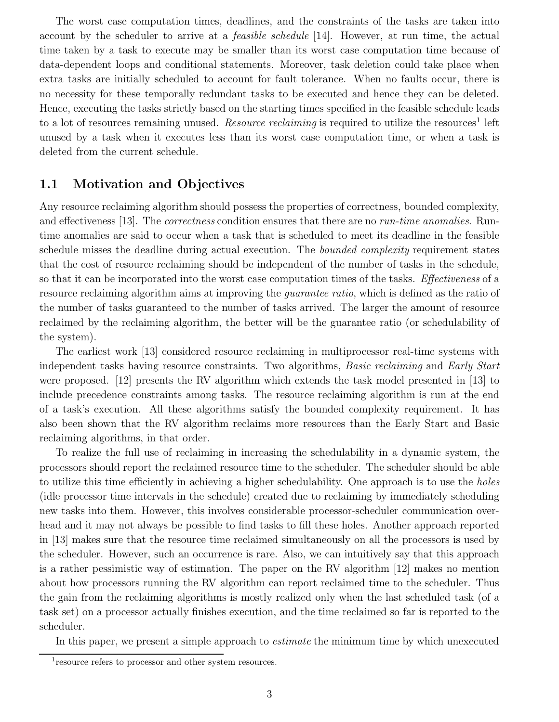The worst case computation times, deadlines, and the constraints of the tasks are taken into account by the scheduler to arrive at a feasible schedule [14]. However, at run time, the actual time taken by a task to execute may be smaller than its worst case computation time because of data-dependent loops and conditional statements. Moreover, task deletion could take place when extra tasks are initially scheduled to account for fault tolerance. When no faults occur, there is no necessity for these temporally redundant tasks to be executed and hence they can be deleted. Hence, executing the tasks strictly based on the starting times specified in the feasible schedule leads to a lot of resources remaining unused. *Resource reclaiming* is required to utilize the resources<sup>1</sup> left unused by a task when it executes less than its worst case computation time, or when a task is deleted from the current schedule.

## **1.1 Motivation and Objectives**

Any resource reclaiming algorithm should possess the properties of correctness, bounded complexity, and effectiveness [13]. The *correctness* condition ensures that there are no *run-time anomalies*. Runtime anomalies are said to occur when a task that is scheduled to meet its deadline in the feasible schedule misses the deadline during actual execution. The *bounded complexity* requirement states that the cost of resource reclaiming should be independent of the number of tasks in the schedule, so that it can be incorporated into the worst case computation times of the tasks. *Effectiveness* of a resource reclaiming algorithm aims at improving the *quarantee ratio*, which is defined as the ratio of the number of tasks guaranteed to the number of tasks arrived. The larger the amount of resource reclaimed by the reclaiming algorithm, the better will be the guarantee ratio (or schedulability of the system).

The earliest work [13] considered resource reclaiming in multiprocessor real-time systems with independent tasks having resource constraints. Two algorithms, *Basic reclaiming* and *Early Start* were proposed. [12] presents the RV algorithm which extends the task model presented in [13] to include precedence constraints among tasks. The resource reclaiming algorithm is run at the end of a task's execution. All these algorithms satisfy the bounded complexity requirement. It has also been shown that the RV algorithm reclaims more resources than the Early Start and Basic reclaiming algorithms, in that order.

To realize the full use of reclaiming in increasing the schedulability in a dynamic system, the processors should report the reclaimed resource time to the scheduler. The scheduler should be able to utilize this time efficiently in achieving a higher schedulability. One approach is to use the holes (idle processor time intervals in the schedule) created due to reclaiming by immediately scheduling new tasks into them. However, this involves considerable processor-scheduler communication overhead and it may not always be possible to find tasks to fill these holes. Another approach reported in [13] makes sure that the resource time reclaimed simultaneously on all the processors is used by the scheduler. However, such an occurrence is rare. Also, we can intuitively say that this approach is a rather pessimistic way of estimation. The paper on the RV algorithm [12] makes no mention about how processors running the RV algorithm can report reclaimed time to the scheduler. Thus the gain from the reclaiming algorithms is mostly realized only when the last scheduled task (of a task set) on a processor actually finishes execution, and the time reclaimed so far is reported to the scheduler.

In this paper, we present a simple approach to *estimate* the minimum time by which unexecuted

<sup>1</sup>resource refers to processor and other system resources.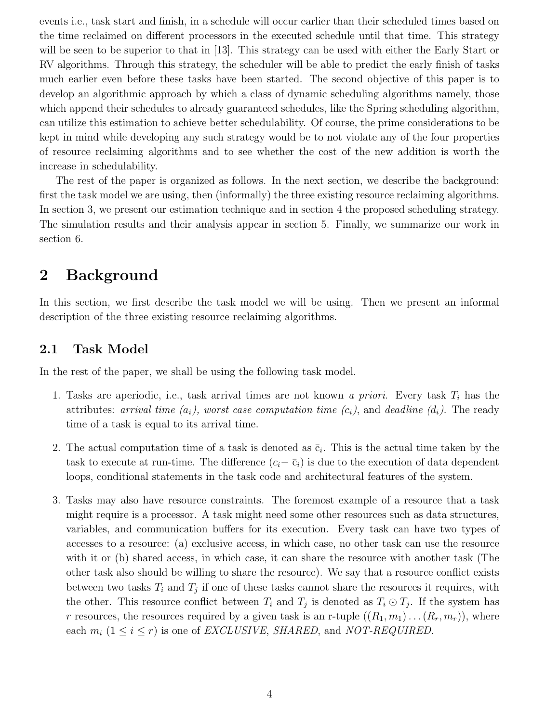events i.e., task start and finish, in a schedule will occur earlier than their scheduled times based on the time reclaimed on different processors in the executed schedule until that time. This strategy will be seen to be superior to that in [13]. This strategy can be used with either the Early Start or RV algorithms. Through this strategy, the scheduler will be able to predict the early finish of tasks much earlier even before these tasks have been started. The second objective of this paper is to develop an algorithmic approach by which a class of dynamic scheduling algorithms namely, those which append their schedules to already guaranteed schedules, like the Spring scheduling algorithm, can utilize this estimation to achieve better schedulability. Of course, the prime considerations to be kept in mind while developing any such strategy would be to not violate any of the four properties of resource reclaiming algorithms and to see whether the cost of the new addition is worth the increase in schedulability.

The rest of the paper is organized as follows. In the next section, we describe the background: first the task model we are using, then (informally) the three existing resource reclaiming algorithms. In section 3, we present our estimation technique and in section 4 the proposed scheduling strategy. The simulation results and their analysis appear in section 5. Finally, we summarize our work in section 6.

# **2 Background**

In this section, we first describe the task model we will be using. Then we present an informal description of the three existing resource reclaiming algorithms.

## **2.1 Task Model**

In the rest of the paper, we shall be using the following task model.

- 1. Tasks are aperiodic, i.e., task arrival times are not known a priori. Every task T*<sup>i</sup>* has the attributes: arrival time  $(a_i)$ , worst case computation time  $(c_i)$ , and deadline  $(d_i)$ . The ready time of a task is equal to its arrival time.
- 2. The actual computation time of a task is denoted as  $\bar{c}_i$ . This is the actual time taken by the task to execute at run-time. The difference  $(c_i-\bar{c}_i)$  is due to the execution of data dependent loops, conditional statements in the task code and architectural features of the system.
- 3. Tasks may also have resource constraints. The foremost example of a resource that a task might require is a processor. A task might need some other resources such as data structures, variables, and communication buffers for its execution. Every task can have two types of accesses to a resource: (a) exclusive access, in which case, no other task can use the resource with it or (b) shared access, in which case, it can share the resource with another task (The other task also should be willing to share the resource). We say that a resource conflict exists between two tasks  $T_i$  and  $T_j$  if one of these tasks cannot share the resources it requires, with the other. This resource conflict between  $T_i$  and  $T_j$  is denoted as  $T_i \odot T_j$ . If the system has r resources, the resources required by a given task is an r-tuple  $((R_1, m_1) \dots (R_r, m_r))$ , where each  $m_i$  ( $1 \le i \le r$ ) is one of *EXCLUSIVE*, *SHARED*, and *NOT-REQUIRED*.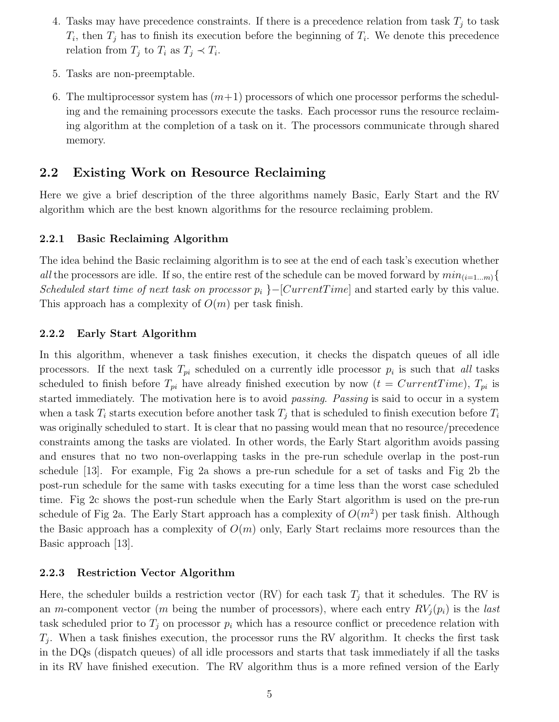- 4. Tasks may have precedence constraints. If there is a precedence relation from task  $T_i$  to task  $T_i$ , then  $T_j$  has to finish its execution before the beginning of  $T_i$ . We denote this precedence relation from  $T_j$  to  $T_i$  as  $T_j \prec T_i$ .
- 5. Tasks are non-preemptable.
- 6. The multiprocessor system has  $(m+1)$  processors of which one processor performs the scheduling and the remaining processors execute the tasks. Each processor runs the resource reclaiming algorithm at the completion of a task on it. The processors communicate through shared memory.

## **2.2 Existing Work on Resource Reclaiming**

Here we give a brief description of the three algorithms namely Basic, Early Start and the RV algorithm which are the best known algorithms for the resource reclaiming problem.

#### **2.2.1 Basic Reclaiming Algorithm**

The idea behind the Basic reclaiming algorithm is to see at the end of each task's execution whether all the processors are idle. If so, the entire rest of the schedule can be moved forward by  $min_{(i=1...m)}$ Scheduled start time of next task on processor  $p_i$  }–[CurrentTime] and started early by this value. This approach has a complexity of  $O(m)$  per task finish.

#### **2.2.2 Early Start Algorithm**

In this algorithm, whenever a task finishes execution, it checks the dispatch queues of all idle processors. If the next task  $T_{pi}$  scheduled on a currently idle processor  $p_i$  is such that all tasks scheduled to finish before  $T_{pi}$  have already finished execution by now  $(t = CurrentTime)$ ,  $T_{pi}$  is started immediately. The motivation here is to avoid *passing. Passing* is said to occur in a system when a task  $T_i$  starts execution before another task  $T_j$  that is scheduled to finish execution before  $T_i$ was originally scheduled to start. It is clear that no passing would mean that no resource/precedence constraints among the tasks are violated. In other words, the Early Start algorithm avoids passing and ensures that no two non-overlapping tasks in the pre-run schedule overlap in the post-run schedule [13]. For example, Fig 2a shows a pre-run schedule for a set of tasks and Fig 2b the post-run schedule for the same with tasks executing for a time less than the worst case scheduled time. Fig 2c shows the post-run schedule when the Early Start algorithm is used on the pre-run schedule of Fig 2a. The Early Start approach has a complexity of  $O(m^2)$  per task finish. Although the Basic approach has a complexity of  $O(m)$  only, Early Start reclaims more resources than the Basic approach [13].

#### **2.2.3 Restriction Vector Algorithm**

Here, the scheduler builds a restriction vector (RV) for each task  $T_j$  that it schedules. The RV is an m-component vector (m being the number of processors), where each entry  $RV<sub>j</sub>(p<sub>i</sub>)$  is the *last* task scheduled prior to  $T_i$  on processor  $p_i$  which has a resource conflict or precedence relation with  $T_i$ . When a task finishes execution, the processor runs the RV algorithm. It checks the first task in the DQs (dispatch queues) of all idle processors and starts that task immediately if all the tasks in its RV have finished execution. The RV algorithm thus is a more refined version of the Early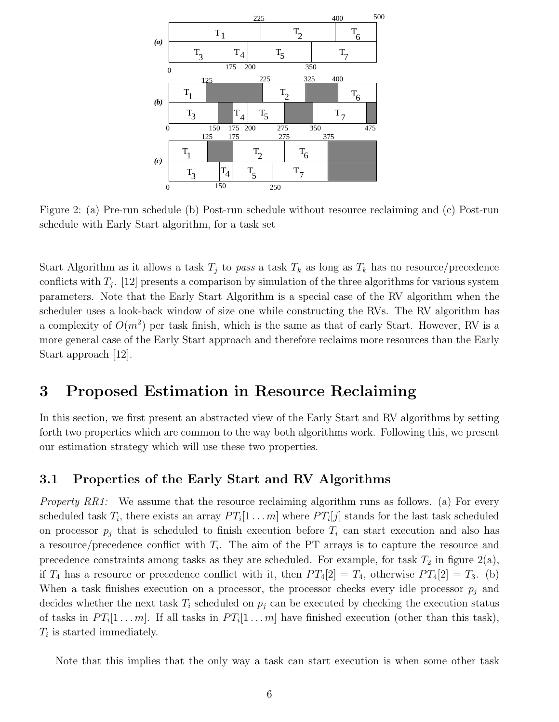

Figure 2: (a) Pre-run schedule (b) Post-run schedule without resource reclaiming and (c) Post-run schedule with Early Start algorithm, for a task set

Start Algorithm as it allows a task  $T_j$  to pass a task  $T_k$  as long as  $T_k$  has no resource/precedence conflicts with  $T_i$ . [12] presents a comparison by simulation of the three algorithms for various system parameters. Note that the Early Start Algorithm is a special case of the RV algorithm when the scheduler uses a look-back window of size one while constructing the RVs. The RV algorithm has a complexity of  $O(m^2)$  per task finish, which is the same as that of early Start. However, RV is a more general case of the Early Start approach and therefore reclaims more resources than the Early Start approach [12].

## **3 Proposed Estimation in Resource Reclaiming**

In this section, we first present an abstracted view of the Early Start and RV algorithms by setting forth two properties which are common to the way both algorithms work. Following this, we present our estimation strategy which will use these two properties.

#### **3.1 Properties of the Early Start and RV Algorithms**

*Property RR1:* We assume that the resource reclaiming algorithm runs as follows. (a) For every scheduled task  $T_i$ , there exists an array  $PT_i[1 \dots m]$  where  $PT_i[j]$  stands for the last task scheduled on processor  $p_i$  that is scheduled to finish execution before  $T_i$  can start execution and also has a resource/precedence conflict with T*i*. The aim of the PT arrays is to capture the resource and precedence constraints among tasks as they are scheduled. For example, for task  $T_2$  in figure  $2(a)$ , if  $T_4$  has a resource or precedence conflict with it, then  $PT_4[2] = T_4$ , otherwise  $PT_4[2] = T_3$ . (b) When a task finishes execution on a processor, the processor checks every idle processor  $p_j$  and decides whether the next task  $T_i$  scheduled on  $p_j$  can be executed by checking the execution status of tasks in  $PT_i[1 \dots m]$ . If all tasks in  $PT_i[1 \dots m]$  have finished execution (other than this task), T*<sup>i</sup>* is started immediately.

Note that this implies that the only way a task can start execution is when some other task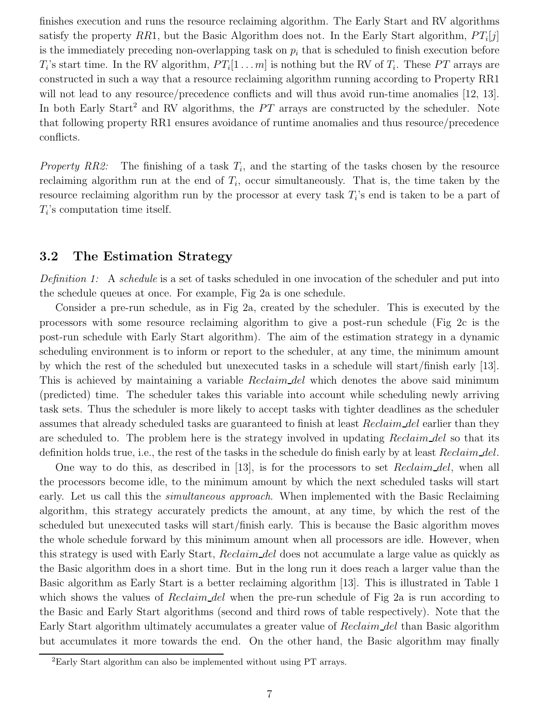finishes execution and runs the resource reclaiming algorithm. The Early Start and RV algorithms satisfy the property RR1, but the Basic Algorithm does not. In the Early Start algorithm,  $PT_i[j]$ is the immediately preceding non-overlapping task on  $p_i$  that is scheduled to finish execution before  $T_i$ 's start time. In the RV algorithm,  $PT_i[1 \dots m]$  is nothing but the RV of  $T_i$ . These PT arrays are constructed in such a way that a resource reclaiming algorithm running according to Property RR1 will not lead to any resource/precedence conflicts and will thus avoid run-time anomalies [12, 13]. In both Early Start<sup>2</sup> and RV algorithms, the  $PT$  arrays are constructed by the scheduler. Note that following property RR1 ensures avoidance of runtime anomalies and thus resource/precedence conflicts.

Property RR2: The finishing of a task  $T_i$ , and the starting of the tasks chosen by the resource reclaiming algorithm run at the end of  $T_i$ , occur simultaneously. That is, the time taken by the resource reclaiming algorithm run by the processor at every task T*i*'s end is taken to be a part of T*i*'s computation time itself.

## **3.2 The Estimation Strategy**

Definition 1: A schedule is a set of tasks scheduled in one invocation of the scheduler and put into the schedule queues at once. For example, Fig 2a is one schedule.

Consider a pre-run schedule, as in Fig 2a, created by the scheduler. This is executed by the processors with some resource reclaiming algorithm to give a post-run schedule (Fig 2c is the post-run schedule with Early Start algorithm). The aim of the estimation strategy in a dynamic scheduling environment is to inform or report to the scheduler, at any time, the minimum amount by which the rest of the scheduled but unexecuted tasks in a schedule will start/finish early [13]. This is achieved by maintaining a variable *Reclaim del* which denotes the above said minimum (predicted) time. The scheduler takes this variable into account while scheduling newly arriving task sets. Thus the scheduler is more likely to accept tasks with tighter deadlines as the scheduler assumes that already scheduled tasks are guaranteed to finish at least Reclaim del earlier than they are scheduled to. The problem here is the strategy involved in updating Reclaim del so that its definition holds true, i.e., the rest of the tasks in the schedule do finish early by at least Reclaim del.

One way to do this, as described in [13], is for the processors to set Reclaim del, when all the processors become idle, to the minimum amount by which the next scheduled tasks will start early. Let us call this the *simultaneous approach*. When implemented with the Basic Reclaiming algorithm, this strategy accurately predicts the amount, at any time, by which the rest of the scheduled but unexecuted tasks will start/finish early. This is because the Basic algorithm moves the whole schedule forward by this minimum amount when all processors are idle. However, when this strategy is used with Early Start, Reclaim del does not accumulate a large value as quickly as the Basic algorithm does in a short time. But in the long run it does reach a larger value than the Basic algorithm as Early Start is a better reclaiming algorithm [13]. This is illustrated in Table 1 which shows the values of  $Reclaim$  del when the pre-run schedule of Fig 2a is run according to the Basic and Early Start algorithms (second and third rows of table respectively). Note that the Early Start algorithm ultimately accumulates a greater value of Reclaim del than Basic algorithm but accumulates it more towards the end. On the other hand, the Basic algorithm may finally

<sup>2</sup>Early Start algorithm can also be implemented without using PT arrays.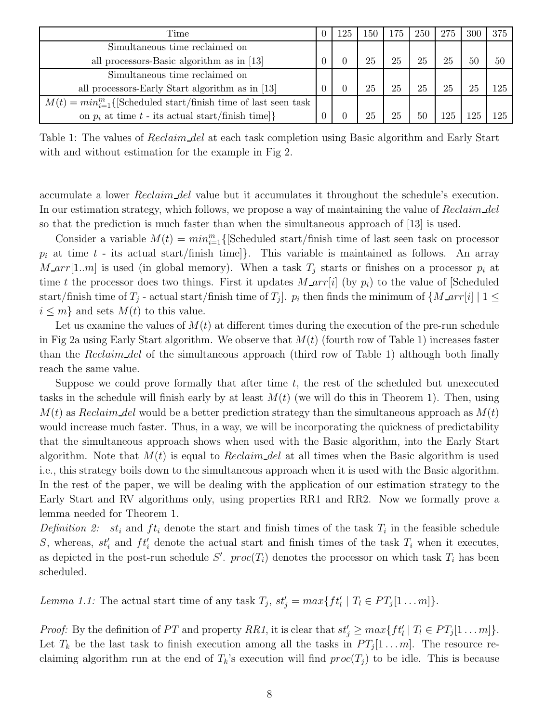| Time                                                                  |  | 125 | $150\,$ | 175 | 250 | 275 | 300 | 375 |
|-----------------------------------------------------------------------|--|-----|---------|-----|-----|-----|-----|-----|
| Simultaneous time reclaimed on                                        |  |     |         |     |     |     |     |     |
| all processors-Basic algorithm as in [13]                             |  |     | 25      | 25  | 25  | 25  | 50  | 50  |
| Simultaneous time reclaimed on                                        |  |     |         |     |     |     |     |     |
| all processors-Early Start algorithm as in [13]                       |  |     | 25      | 25  | 25  | 25  |     | 125 |
| $M(t) = min_{i=1}^{m}$ {Scheduled start/finish time of last seen task |  |     |         |     |     |     |     |     |
| on $p_i$ at time $t$ - its actual start/finish time]}                 |  |     | 25      | 25  | 50  | 125 |     | 125 |

Table 1: The values of *Reclaim del* at each task completion using Basic algorithm and Early Start with and without estimation for the example in Fig 2.

accumulate a lower Reclaim del value but it accumulates it throughout the schedule's execution. In our estimation strategy, which follows, we propose a way of maintaining the value of Reclaim del so that the prediction is much faster than when the simultaneous approach of [13] is used.

Consider a variable  $M(t) = min_{i=1}^{m}$  {[Scheduled start/finish time of last seen task on processor  $p_i$  at time  $t$  - its actual start/finish time]. This variable is maintained as follows. An array  $M_{\text{I}}arr[1..m]$  is used (in global memory). When a task  $T_j$  starts or finishes on a processor  $p_i$  at time t the processor does two things. First it updates  $M_{\text{a}}\text{r}r[i]$  (by  $p_i$ ) to the value of [Scheduled start/finish time of  $T_j$  - actual start/finish time of  $T_j$ .  $p_i$  then finds the minimum of  $\{M_\_arr[i] \mid 1 \leq j \leq N\}$  $i \leq m$  and sets  $M(t)$  to this value.

Let us examine the values of  $M(t)$  at different times during the execution of the pre-run schedule in Fig 2a using Early Start algorithm. We observe that  $M(t)$  (fourth row of Table 1) increases faster than the Reclaim del of the simultaneous approach (third row of Table 1) although both finally reach the same value.

Suppose we could prove formally that after time  $t$ , the rest of the scheduled but unexecuted tasks in the schedule will finish early by at least  $M(t)$  (we will do this in Theorem 1). Then, using  $M(t)$  as Reclaim del would be a better prediction strategy than the simultaneous approach as  $M(t)$ would increase much faster. Thus, in a way, we will be incorporating the quickness of predictability that the simultaneous approach shows when used with the Basic algorithm, into the Early Start algorithm. Note that  $M(t)$  is equal to Reclaim del at all times when the Basic algorithm is used i.e., this strategy boils down to the simultaneous approach when it is used with the Basic algorithm. In the rest of the paper, we will be dealing with the application of our estimation strategy to the Early Start and RV algorithms only, using properties RR1 and RR2. Now we formally prove a lemma needed for Theorem 1.

Definition 2:  $st_i$  and  $ft_i$  denote the start and finish times of the task  $T_i$  in the feasible schedule S, whereas,  $st_i'$  and  $ft_i'$  denote the actual start and finish times of the task  $T_i$  when it executes, as depicted in the post-run schedule S'.  $proc(T_i)$  denotes the processor on which task  $T_i$  has been scheduled.

Lemma 1.1: The actual start time of any task  $T_j$ ,  $st'_j = max\{ft'_l | T_l \in PT_j[1...m]\}.$ 

*Proof:* By the definition of PT and property RR1, it is clear that  $st'_i \geq max\{ft'_i | T_i \in PT_j[1...m]\}.$ Let  $T_k$  be the last task to finish execution among all the tasks in  $PT_j[1 \dots m]$ . The resource reclaiming algorithm run at the end of  $T_k$ 's execution will find  $proc(T_j)$  to be idle. This is because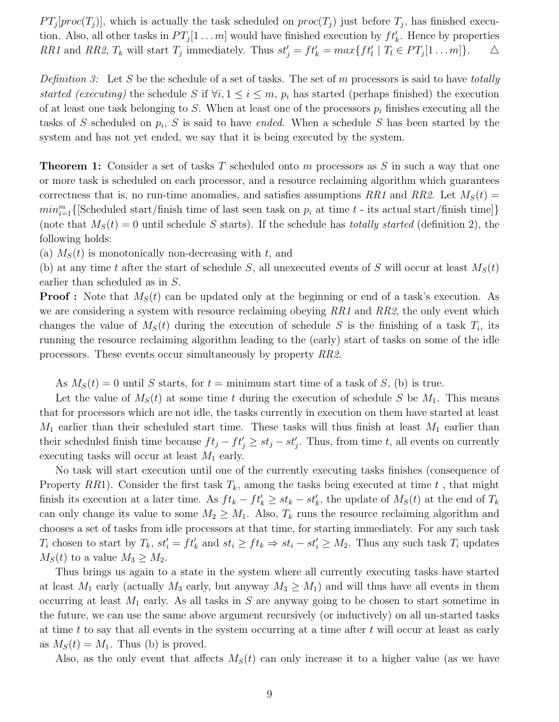$PT_j[proc(T_j)]$ , which is actually the task scheduled on  $proc(T_j)$  just before  $T_j$ , has finished execution. Also, all other tasks in  $PT_j[1 \dots m]$  would have finished execution by  $ft'_k$ . Hence by properties RR1 and RR2,  $T_k$  will start  $T_j$  immediately. Thus  $st'_j = ft'_k = max\{ft'_l | T_l \in PT_j[1 \dots m]\}.$   $\Delta$ 

Definition 3: Let S be the schedule of a set of tasks. The set of m processors is said to have totally started (executing) the schedule S if  $\forall i, 1 \leq i \leq m$ ,  $p_i$  has started (perhaps finished) the execution of at least one task belonging to S. When at least one of the processors  $p_i$  finishes executing all the tasks of S scheduled on p*i*, S is said to have ended. When a schedule S has been started by the system and has not yet ended, we say that it is being executed by the system.

**Theorem 1:** Consider a set of tasks T scheduled onto m processors as S in such a way that one or more task is scheduled on each processor, and a resource reclaiming algorithm which guarantees correctness that is, no run-time anomalies, and satisfies assumptions RR1 and RR2. Let  $M<sub>S</sub>(t)$  =  $min_{i=1}^{m} \{ [\text{Scheduled start/finish time of last seen task on } p_i \text{ at time } t \text{ - its actual start/finish time} ] \}$ (note that  $M_S(t) = 0$  until schedule S starts). If the schedule has *totally started* (definition 2), the following holds:

(a)  $M<sub>S</sub>(t)$  is monotonically non-decreasing with t, and

(b) at any time t after the start of schedule S, all unexecuted events of S will occur at least  $M_S(t)$ earlier than scheduled as in S.

**Proof :** Note that  $M_S(t)$  can be updated only at the beginning or end of a task's execution. As we are considering a system with resource reclaiming obeying  $RR1$  and  $RR2$ , the only event which changes the value of  $M_S(t)$  during the execution of schedule S is the finishing of a task  $T_i$ , its running the resource reclaiming algorithm leading to the (early) start of tasks on some of the idle processors. These events occur simultaneously by property RR2.

As  $M_S(t) = 0$  until S starts, for  $t =$  minimum start time of a task of S, (b) is true.

Let the value of  $M_S(t)$  at some time t during the execution of schedule S be  $M_1$ . This means that for processors which are not idle, the tasks currently in execution on them have started at least  $M_1$  earlier than their scheduled start time. These tasks will thus finish at least  $M_1$  earlier than their scheduled finish time because  $ft_j - ft'_j \geq st_j - st'_j$ . Thus, from time t, all events on currently executing tasks will occur at least  $M_1$  early.

No task will start execution until one of the currently executing tasks finishes (consequence of Property RR1). Consider the first task  $T_k$ , among the tasks being executed at time  $t$ , that might finish its execution at a later time. As  $ft_k - ft'_k \geq st_k - st'_k$ , the update of  $M_S(t)$  at the end of  $T_k$ can only change its value to some  $M_2 \geq M_1$ . Also,  $T_k$  runs the resource reclaiming algorithm and chooses a set of tasks from idle processors at that time, for starting immediately. For any such task  $T_i$  chosen to start by  $T_k$ ,  $st'_i = ft'_k$  and  $st_i \geq ft_k \Rightarrow st_i - st'_i \geq M_2$ . Thus any such task  $T_i$  updates  $M_S(t)$  to a value  $M_3 \geq M_2$ .

Thus brings us again to a state in the system where all currently executing tasks have started at least  $M_1$  early (actually  $M_3$  early, but anyway  $M_3 \geq M_1$ ) and will thus have all events in them occurring at least  $M_1$  early. As all tasks in S are anyway going to be chosen to start sometime in the future, we can use the same above argument recursively (or inductively) on all un-started tasks at time t to say that all events in the system occurring at a time after t will occur at least as early as  $M_S(t) = M_1$ . Thus (b) is proved.

Also, as the only event that affects  $M<sub>S</sub>(t)$  can only increase it to a higher value (as we have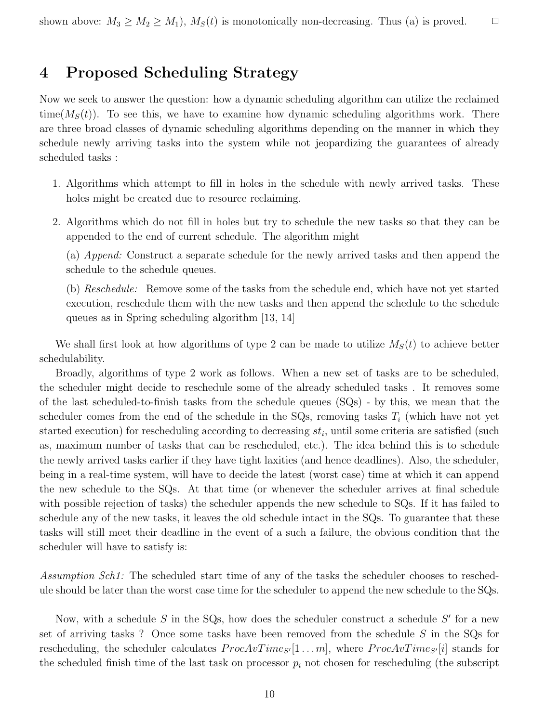# **4 Proposed Scheduling Strategy**

Now we seek to answer the question: how a dynamic scheduling algorithm can utilize the reclaimed time( $M<sub>S</sub>(t)$ ). To see this, we have to examine how dynamic scheduling algorithms work. There are three broad classes of dynamic scheduling algorithms depending on the manner in which they schedule newly arriving tasks into the system while not jeopardizing the guarantees of already scheduled tasks :

- 1. Algorithms which attempt to fill in holes in the schedule with newly arrived tasks. These holes might be created due to resource reclaiming.
- 2. Algorithms which do not fill in holes but try to schedule the new tasks so that they can be appended to the end of current schedule. The algorithm might

(a) Append: Construct a separate schedule for the newly arrived tasks and then append the schedule to the schedule queues.

(b) Reschedule: Remove some of the tasks from the schedule end, which have not yet started execution, reschedule them with the new tasks and then append the schedule to the schedule queues as in Spring scheduling algorithm [13, 14]

We shall first look at how algorithms of type 2 can be made to utilize  $M<sub>S</sub>(t)$  to achieve better schedulability.

Broadly, algorithms of type 2 work as follows. When a new set of tasks are to be scheduled, the scheduler might decide to reschedule some of the already scheduled tasks . It removes some of the last scheduled-to-finish tasks from the schedule queues (SQs) - by this, we mean that the scheduler comes from the end of the schedule in the  $SQs$ , removing tasks  $T<sub>i</sub>$  (which have not yet started execution) for rescheduling according to decreasing st*i*, until some criteria are satisfied (such as, maximum number of tasks that can be rescheduled, etc.). The idea behind this is to schedule the newly arrived tasks earlier if they have tight laxities (and hence deadlines). Also, the scheduler, being in a real-time system, will have to decide the latest (worst case) time at which it can append the new schedule to the SQs. At that time (or whenever the scheduler arrives at final schedule with possible rejection of tasks) the scheduler appends the new schedule to SQs. If it has failed to schedule any of the new tasks, it leaves the old schedule intact in the SQs. To guarantee that these tasks will still meet their deadline in the event of a such a failure, the obvious condition that the scheduler will have to satisfy is:

Assumption Sch1: The scheduled start time of any of the tasks the scheduler chooses to reschedule should be later than the worst case time for the scheduler to append the new schedule to the SQs.

Now, with a schedule S in the SQs, how does the scheduler construct a schedule  $S'$  for a new set of arriving tasks? Once some tasks have been removed from the schedule  $S$  in the SQs for rescheduling, the scheduler calculates  $ProcAvTime_{S'}[1 \dots m]$ , where  $ProcAvTime_{S'}[i]$  stands for the scheduled finish time of the last task on processor  $p_i$  not chosen for rescheduling (the subscript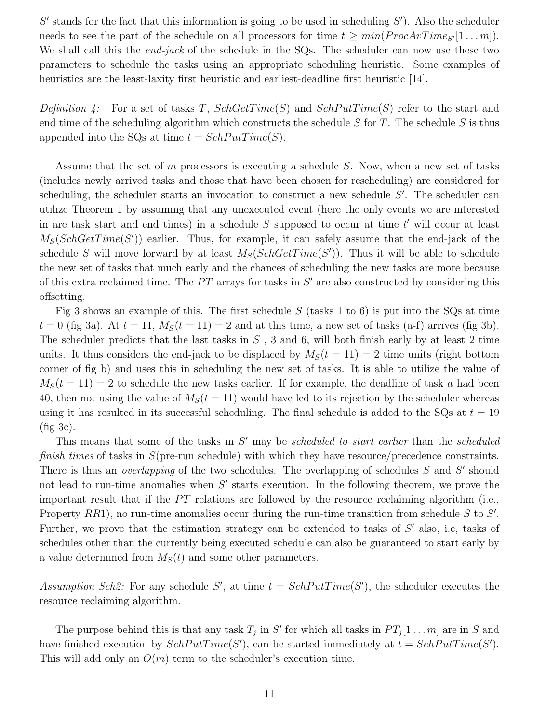$S'$  stands for the fact that this information is going to be used in scheduling  $S'$ ). Also the scheduler needs to see the part of the schedule on all processors for time  $t \geq min(ProcAvTime<sub>S'</sub>[1...m])$ . We shall call this the *end-jack* of the schedule in the SQs. The scheduler can now use these two parameters to schedule the tasks using an appropriate scheduling heuristic. Some examples of heuristics are the least-laxity first heuristic and earliest-deadline first heuristic [14].

Definition 4: For a set of tasks T,  $SchGetTime(S)$  and  $SchPutTime(S)$  refer to the start and end time of the scheduling algorithm which constructs the schedule  $S$  for  $T$ . The schedule  $S$  is thus appended into the SQs at time  $t = SchPutTime(S)$ .

Assume that the set of m processors is executing a schedule  $S$ . Now, when a new set of tasks (includes newly arrived tasks and those that have been chosen for rescheduling) are considered for scheduling, the scheduler starts an invocation to construct a new schedule S'. The scheduler can utilize Theorem 1 by assuming that any unexecuted event (here the only events we are interested in are task start and end times) in a schedule S supposed to occur at time  $t'$  will occur at least  $M_S(SchGetTime(S'))$  earlier. Thus, for example, it can safely assume that the end-jack of the schedule S will move forward by at least  $M_S(SchGetTime(S'))$ . Thus it will be able to schedule the new set of tasks that much early and the chances of scheduling the new tasks are more because of this extra reclaimed time. The  $PT$  arrays for tasks in  $S'$  are also constructed by considering this offsetting.

Fig 3 shows an example of this. The first schedule  $S$  (tasks 1 to 6) is put into the SQs at time  $t = 0$  (fig 3a). At  $t = 11$ ,  $M<sub>S</sub>(t = 11) = 2$  and at this time, a new set of tasks (a-f) arrives (fig 3b). The scheduler predicts that the last tasks in  $S$ , 3 and 6, will both finish early by at least 2 time units. It thus considers the end-jack to be displaced by  $M<sub>S</sub>(t = 11) = 2$  time units (right bottom corner of fig b) and uses this in scheduling the new set of tasks. It is able to utilize the value of  $M<sub>S</sub>(t = 11) = 2$  to schedule the new tasks earlier. If for example, the deadline of task a had been 40, then not using the value of  $M<sub>S</sub>(t = 11)$  would have led to its rejection by the scheduler whereas using it has resulted in its successful scheduling. The final schedule is added to the SQs at  $t = 19$ (fig 3c).

This means that some of the tasks in  $S'$  may be *scheduled to start earlier* than the *scheduled* finish times of tasks in  $S$ (pre-run schedule) with which they have resource/precedence constraints. There is thus an *overlapping* of the two schedules. The overlapping of schedules S and S' should not lead to run-time anomalies when  $S'$  starts execution. In the following theorem, we prove the important result that if the  $PT$  relations are followed by the resource reclaiming algorithm (i.e., Property  $RR1$ ), no run-time anomalies occur during the run-time transition from schedule S to S'. Further, we prove that the estimation strategy can be extended to tasks of  $S'$  also, i.e, tasks of schedules other than the currently being executed schedule can also be guaranteed to start early by a value determined from  $M_S(t)$  and some other parameters.

Assumption Sch2: For any schedule S', at time  $t = SchPutTime(S')$ , the scheduler executes the resource reclaiming algorithm.

The purpose behind this is that any task  $T_j$  in S' for which all tasks in  $PT_j[1 \dots m]$  are in S and have finished execution by  $SchPutTime(S')$ , can be started immediately at  $t = SchPutTime(S')$ . This will add only an  $O(m)$  term to the scheduler's execution time.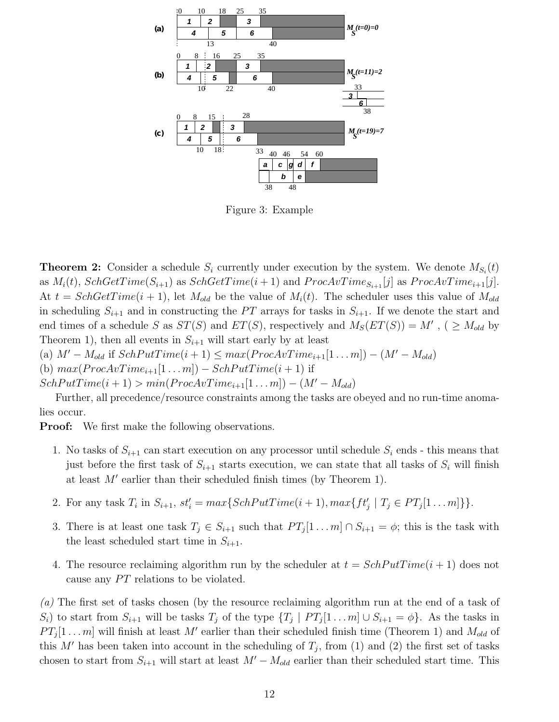

Figure 3: Example

**Theorem 2:** Consider a schedule  $S_i$  currently under execution by the system. We denote  $M_{S_i}(t)$ as  $M_i(t)$ ,  $SchGetTime(S_{i+1})$  as  $SchGetTime(i+1)$  and  $ProcAvTime_{S_{i+1}}[j]$  as  $ProcAvTime_{i+1}[j]$ . At  $t = SchGetTime(i + 1)$ , let  $M_{old}$  be the value of  $M_i(t)$ . The scheduler uses this value of  $M_{old}$ in scheduling  $S_{i+1}$  and in constructing the PT arrays for tasks in  $S_{i+1}$ . If we denote the start and end times of a schedule S as  $ST(S)$  and  $ET(S)$ , respectively and  $M_S(ET(S)) = M'$ , ( $\geq M_{old}$  by Theorem 1), then all events in  $S_{i+1}$  will start early by at least

- (a)  $M' M_{old}$  if  $SchPutTime(i + 1) \leq max(ProcAvTime_{i+1}[1...m]) (M' M_{old})$
- (b)  $max(ProcAvTime_{i+1}[1...m]) SchPutTime(i+1)$  if

 $SchPutTime(i + 1) > min(ProcAvTime_{i+1}[1...m]) - (M' - M_{old})$ 

Further, all precedence/resource constraints among the tasks are obeyed and no run-time anomalies occur.

**Proof:** We first make the following observations.

- 1. No tasks of  $S_{i+1}$  can start execution on any processor until schedule  $S_i$  ends this means that just before the first task of  $S_{i+1}$  starts execution, we can state that all tasks of  $S_i$  will finish at least  $M'$  earlier than their scheduled finish times (by Theorem 1).
- 2. For any task  $T_i$  in  $S_{i+1}$ ,  $st'_i = max\{SchPutTime(i + 1), max\{ft'_j \mid T_j \in PT_j[1...m]\}\}.$
- 3. There is at least one task  $T_j \in S_{i+1}$  such that  $PT_j[1 \dots m] \cap S_{i+1} = \phi$ ; this is the task with the least scheduled start time in  $S_{i+1}$ .
- 4. The resource reclaiming algorithm run by the scheduler at  $t = SchPutTime(i + 1)$  does not cause any PT relations to be violated.

(a) The first set of tasks chosen (by the resource reclaiming algorithm run at the end of a task of  $S_i$ ) to start from  $S_{i+1}$  will be tasks  $T_j$  of the type  $\{T_j \mid PT_j[1 \dots m] \cup S_{i+1} = \phi\}$ . As the tasks in  $PT_j[1 \dots m]$  will finish at least M' earlier than their scheduled finish time (Theorem 1) and  $M_{old}$  of this M' has been taken into account in the scheduling of  $T_i$ , from (1) and (2) the first set of tasks chosen to start from  $S_{i+1}$  will start at least  $M' - M_{old}$  earlier than their scheduled start time. This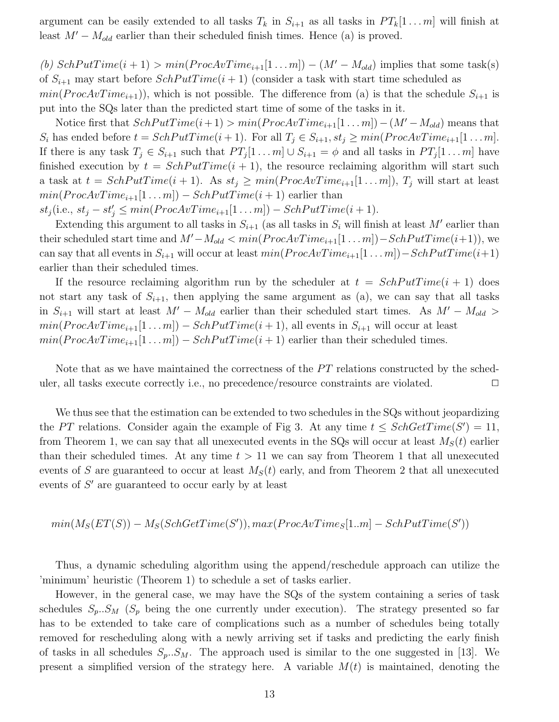argument can be easily extended to all tasks  $T_k$  in  $S_{i+1}$  as all tasks in  $PT_k[1 \dots m]$  will finish at least  $M' - M_{old}$  earlier than their scheduled finish times. Hence (a) is proved.

(b)  $SchPutTime(i + 1) > min(ProcAvTime_{i+1}[1...m]) - (M' - M_{old})$  implies that some task(s) of  $S_{i+1}$  may start before  $SchPutTime(i+1)$  (consider a task with start time scheduled as

 $min(ProcAvTime_{i+1})$ , which is not possible. The difference from (a) is that the schedule  $S_{i+1}$  is put into the SQs later than the predicted start time of some of the tasks in it.

Notice first that  $SchPutTime(i+1) > min(ProcAvTime_{i+1}[1...m]) - (M' - M_{old})$  means that  $S_i$  has ended before  $t = SchPutTime(i + 1)$ . For all  $T_j \in S_{i+1}, st_j \geq min(ProcAvTime_{i+1}[1...m])$ . If there is any task  $T_j \in S_{i+1}$  such that  $PT_j[1 \dots m] \cup S_{i+1} = \phi$  and all tasks in  $PT_j[1 \dots m]$  have finished execution by  $t = SchPutTime(i + 1)$ , the resource reclaiming algorithm will start such a task at  $t = SchPutTime(i + 1)$ . As  $st_i \geq min(ProcAvTime_{i+1}[1...m]), T_i$  will start at least  $min(ProcAvTime_{i+1}[1...m]) - SchPutTime(i+1)$  earlier than

 $st_j$ (i.e.,  $st_j - st'_j \leq min(ProcAvTime_{i+1}[1...m]) - SchPutTime(i+1).$ 

Extending this argument to all tasks in  $S_{i+1}$  (as all tasks in  $S_i$  will finish at least M' earlier than their scheduled start time and  $M' - M_{old} < min(ProcAvTime_{i+1}[1...m]) - SchPutTime(i+1)),$  we can say that all events in  $S_{i+1}$  will occur at least  $min(ProcAvTime_{i+1}[1 \dots m]) - SchPutTime(i+1)$ earlier than their scheduled times.

If the resource reclaiming algorithm run by the scheduler at  $t = SchPutTime(i + 1)$  does not start any task of  $S_{i+1}$ , then applying the same argument as (a), we can say that all tasks in  $S_{i+1}$  will start at least  $M' - M_{old}$  earlier than their scheduled start times. As  $M' - M_{old}$  $min(ProcAvTime_{i+1}[1...m]) - SchPutTime(i+1),$  all events in  $S_{i+1}$  will occur at least  $min(ProcAvTime_{i+1}[1...m]) - SchPutTime(i+1)$  earlier than their scheduled times.

Note that as we have maintained the correctness of the  $PT$  relations constructed by the scheduler, all tasks execute correctly i.e., no precedence/resource constraints are violated.

We thus see that the estimation can be extended to two schedules in the SQs without jeopardizing the PT relations. Consider again the example of Fig 3. At any time  $t \leq SchGetTime(S') = 11$ , from Theorem 1, we can say that all unexecuted events in the SQs will occur at least  $M<sub>S</sub>(t)$  earlier than their scheduled times. At any time  $t > 11$  we can say from Theorem 1 that all unexecuted events of S are guaranteed to occur at least  $M<sub>S</sub>(t)$  early, and from Theorem 2 that all unexecuted events of  $S'$  are guaranteed to occur early by at least

$$
min(M_S(ET(S)) - M_S(SchGetTime(S')), max(ProcAvTime_S[1..m] - SchPutTime(S'))
$$

Thus, a dynamic scheduling algorithm using the append/reschedule approach can utilize the 'minimum' heuristic (Theorem 1) to schedule a set of tasks earlier.

However, in the general case, we may have the SQs of the system containing a series of task schedules  $S_p \tcdot S_M$  ( $S_p$  being the one currently under execution). The strategy presented so far has to be extended to take care of complications such as a number of schedules being totally removed for rescheduling along with a newly arriving set if tasks and predicting the early finish of tasks in all schedules  $S_p \nvert S_M$ . The approach used is similar to the one suggested in [13]. We present a simplified version of the strategy here. A variable  $M(t)$  is maintained, denoting the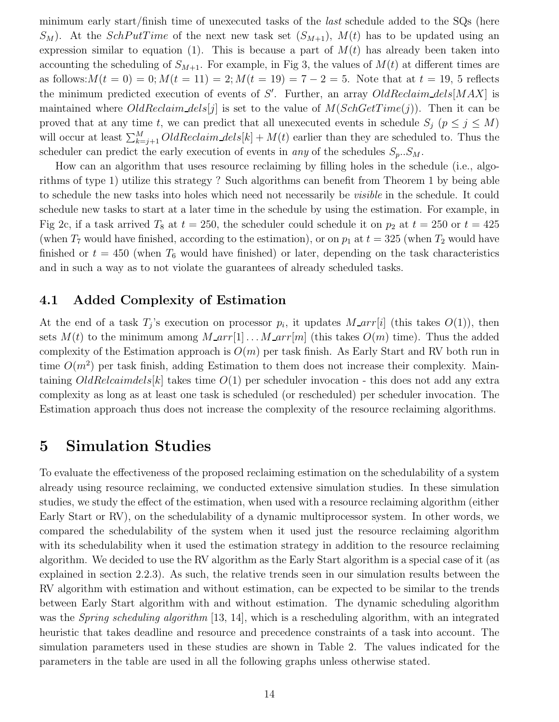minimum early start/finish time of unexecuted tasks of the last schedule added to the SQs (here  $S_M$ ). At the *SchPutTime* of the next new task set  $(S_{M+1})$ ,  $M(t)$  has to be updated using an expression similar to equation (1). This is because a part of  $M(t)$  has already been taken into accounting the scheduling of  $S_{M+1}$ . For example, in Fig 3, the values of  $M(t)$  at different times are as follows:  $M(t = 0) = 0$ ;  $M(t = 11) = 2$ ;  $M(t = 19) = 7 - 2 = 5$ . Note that at  $t = 19$ , 5 reflects the minimum predicted execution of events of S'. Further, an array  $OldReclain\_dels[MAX]$  is maintained where  $OldReclain\_dels[j]$  is set to the value of  $M(SchoGetTime(j))$ . Then it can be proved that at any time t, we can predict that all unexecuted events in schedule  $S_j$  ( $p \leq j \leq M$ ) will occur at least  $\sum_{k=j+1}^{M} OldReclain\_dels[k] + M(t)$  earlier than they are scheduled to. Thus the scheduler can predict the early execution of events in *any* of the schedules  $S_p \nvert S_M$ .

How can an algorithm that uses resource reclaiming by filling holes in the schedule (i.e., algorithms of type 1) utilize this strategy ? Such algorithms can benefit from Theorem 1 by being able to schedule the new tasks into holes which need not necessarily be visible in the schedule. It could schedule new tasks to start at a later time in the schedule by using the estimation. For example, in Fig 2c, if a task arrived  $T_8$  at  $t = 250$ , the scheduler could schedule it on  $p_2$  at  $t = 250$  or  $t = 425$ (when  $T_7$  would have finished, according to the estimation), or on  $p_1$  at  $t = 325$  (when  $T_2$  would have finished or  $t = 450$  (when  $T_6$  would have finished) or later, depending on the task characteristics and in such a way as to not violate the guarantees of already scheduled tasks.

## **4.1 Added Complexity of Estimation**

At the end of a task  $T_i$ 's execution on processor  $p_i$ , it updates  $M_{\text{a}}\text{arr}[i]$  (this takes  $O(1)$ ), then sets  $M(t)$  to the minimum among  $M_{\text{I}} \text{arr}[1] \text{...} M_{\text{I}} \text{arr}[m]$  (this takes  $O(m)$  time). Thus the added complexity of the Estimation approach is  $O(m)$  per task finish. As Early Start and RV both run in time  $O(m^2)$  per task finish, adding Estimation to them does not increase their complexity. Maintaining  $OldRelcaimdels[k]$  takes time  $O(1)$  per scheduler invocation - this does not add any extra complexity as long as at least one task is scheduled (or rescheduled) per scheduler invocation. The Estimation approach thus does not increase the complexity of the resource reclaiming algorithms.

## **5 Simulation Studies**

To evaluate the effectiveness of the proposed reclaiming estimation on the schedulability of a system already using resource reclaiming, we conducted extensive simulation studies. In these simulation studies, we study the effect of the estimation, when used with a resource reclaiming algorithm (either Early Start or RV), on the schedulability of a dynamic multiprocessor system. In other words, we compared the schedulability of the system when it used just the resource reclaiming algorithm with its schedulability when it used the estimation strategy in addition to the resource reclaiming algorithm. We decided to use the RV algorithm as the Early Start algorithm is a special case of it (as explained in section 2.2.3). As such, the relative trends seen in our simulation results between the RV algorithm with estimation and without estimation, can be expected to be similar to the trends between Early Start algorithm with and without estimation. The dynamic scheduling algorithm was the *Spring scheduling algorithm* [13, 14], which is a rescheduling algorithm, with an integrated heuristic that takes deadline and resource and precedence constraints of a task into account. The simulation parameters used in these studies are shown in Table 2. The values indicated for the parameters in the table are used in all the following graphs unless otherwise stated.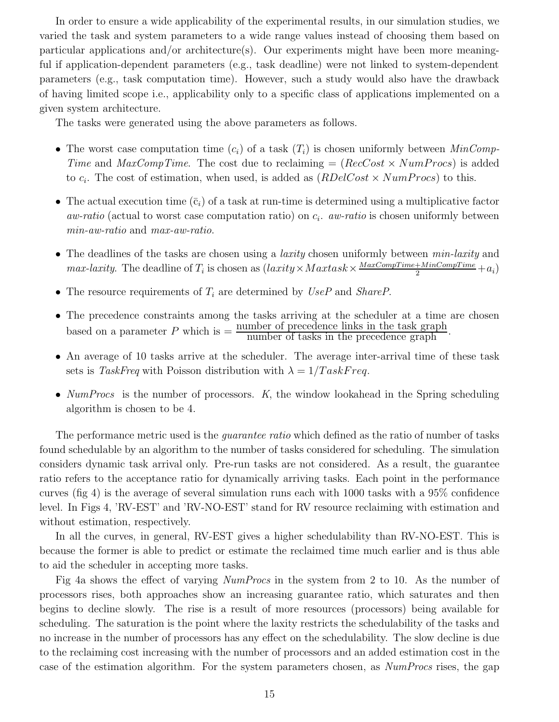In order to ensure a wide applicability of the experimental results, in our simulation studies, we varied the task and system parameters to a wide range values instead of choosing them based on particular applications and/or architecture(s). Our experiments might have been more meaningful if application-dependent parameters (e.g., task deadline) were not linked to system-dependent parameters (e.g., task computation time). However, such a study would also have the drawback of having limited scope i.e., applicability only to a specific class of applications implemented on a given system architecture.

The tasks were generated using the above parameters as follows.

- The worst case computation time  $(c_i)$  of a task  $(T_i)$  is chosen uniformly between  $MinComp$ Time and  $MaxCompTime$ . The cost due to reclaiming =  $(RecCost \times NumProcess)$  is added to  $c_i$ . The cost of estimation, when used, is added as  $(RDelCost \times NumProcess)$  to this.
- The actual execution time  $(\bar{c}_i)$  of a task at run-time is determined using a multiplicative factor aw-ratio (actual to worst case computation ratio) on c*i*. aw-ratio is chosen uniformly between min-aw-ratio and max-aw-ratio.
- The deadlines of the tasks are chosen using a *laxity* chosen uniformly between  $min\text{-}larity$  and  $max\text{-}larity$ . The deadline of  $T_i$  is chosen as  $(larity \times Maxtask \times \frac{MaxCompTime + MinCompTime}{2} + a_i)$
- The resource requirements of  $T_i$  are determined by  $UseP$  and *ShareP*.
- The precedence constraints among the tasks arriving at the scheduler at a time are chosen based on a parameter  $P$  which is  $=$   $\frac{\text{number of precedence links in the task graph}}{\text{number of tasks in the precedence graph}}$ .
- An average of 10 tasks arrive at the scheduler. The average inter-arrival time of these task sets is TaskFreq with Poisson distribution with  $\lambda = 1/TaskFreq$ .
- $NumProcess$  is the number of processors. K, the window lookahead in the Spring scheduling algorithm is chosen to be 4.

The performance metric used is the *quarantee ratio* which defined as the ratio of number of tasks found schedulable by an algorithm to the number of tasks considered for scheduling. The simulation considers dynamic task arrival only. Pre-run tasks are not considered. As a result, the guarantee ratio refers to the acceptance ratio for dynamically arriving tasks. Each point in the performance curves (fig 4) is the average of several simulation runs each with 1000 tasks with a 95% confidence level. In Figs 4, 'RV-EST' and 'RV-NO-EST' stand for RV resource reclaiming with estimation and without estimation, respectively.

In all the curves, in general, RV-EST gives a higher schedulability than RV-NO-EST. This is because the former is able to predict or estimate the reclaimed time much earlier and is thus able to aid the scheduler in accepting more tasks.

Fig 4a shows the effect of varying NumProcs in the system from 2 to 10. As the number of processors rises, both approaches show an increasing guarantee ratio, which saturates and then begins to decline slowly. The rise is a result of more resources (processors) being available for scheduling. The saturation is the point where the laxity restricts the schedulability of the tasks and no increase in the number of processors has any effect on the schedulability. The slow decline is due to the reclaiming cost increasing with the number of processors and an added estimation cost in the case of the estimation algorithm. For the system parameters chosen, as NumProcs rises, the gap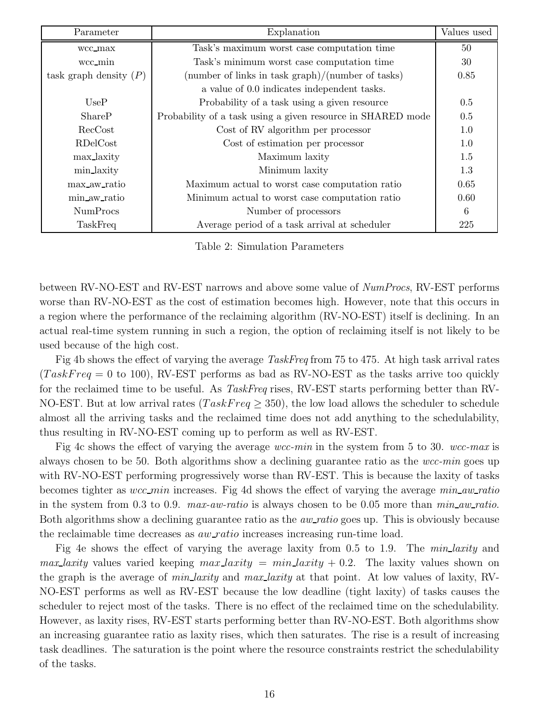| Parameter                | Explanation                                                 | Values used |
|--------------------------|-------------------------------------------------------------|-------------|
| wcc_max                  | Task's maximum worst case computation time                  | 50          |
| wcc_min                  | Task's minimum worst case computation time                  | 30          |
| task graph density $(P)$ | (number of links in task $graph)/(number$ of tasks)         | 0.85        |
|                          | a value of 0.0 indicates independent tasks.                 |             |
| UseP                     | Probability of a task using a given resource                | 0.5         |
| ShareP                   | Probability of a task using a given resource in SHARED mode | 0.5         |
| RecCost                  | Cost of RV algorithm per processor                          | 1.0         |
| RDelCost                 | Cost of estimation per processor                            | 1.0         |
| max_laxity               | Maximum laxity                                              | 1.5         |
| min_laxity               | Minimum laxity                                              | 1.3         |
| max aw ratio             | Maximum actual to worst case computation ratio              | 0.65        |
| min aw ratio             | Minimum actual to worst case computation ratio              | 0.60        |
| <b>NumProcs</b>          | Number of processors                                        | 6           |
| TaskFreq                 | Average period of a task arrival at scheduler               | 225         |

Table 2: Simulation Parameters

between RV-NO-EST and RV-EST narrows and above some value of  $NumProcess$ , RV-EST performs worse than RV-NO-EST as the cost of estimation becomes high. However, note that this occurs in a region where the performance of the reclaiming algorithm (RV-NO-EST) itself is declining. In an actual real-time system running in such a region, the option of reclaiming itself is not likely to be used because of the high cost.

Fig 4b shows the effect of varying the average TaskFreq from 75 to 475. At high task arrival rates  $(TaskFreq = 0 \text{ to } 100)$ , RV-EST performs as bad as RV-NO-EST as the tasks arrive too quickly for the reclaimed time to be useful. As TaskFreq rises, RV-EST starts performing better than RV-NO-EST. But at low arrival rates ( $TaskFreq \geq 350$ ), the low load allows the scheduler to schedule almost all the arriving tasks and the reclaimed time does not add anything to the schedulability, thus resulting in RV-NO-EST coming up to perform as well as RV-EST.

Fig 4c shows the effect of varying the average wcc-min in the system from 5 to 30. wcc-max is always chosen to be 50. Both algorithms show a declining guarantee ratio as the  $wcc$ -min goes up with RV-NO-EST performing progressively worse than RV-EST. This is because the laxity of tasks becomes tighter as wcc min increases. Fig 4d shows the effect of varying the average min aw ratio in the system from 0.3 to 0.9.  $max-aw-ratio$  is always chosen to be 0.05 more than  $min\_aw-ratio$ . Both algorithms show a declining guarantee ratio as the *aw\_ratio* goes up. This is obviously because the reclaimable time decreases as  $aw\_ratio$  increases increasing run-time load.

Fig 4e shows the effect of varying the average laxity from 0.5 to 1.9. The *min-laxity* and *max* laxity values varied keeping  $max$  laxity =  $min$  laxity + 0.2. The laxity values shown on the graph is the average of *min-laxity* and *max-laxity* at that point. At low values of laxity, RV-NO-EST performs as well as RV-EST because the low deadline (tight laxity) of tasks causes the scheduler to reject most of the tasks. There is no effect of the reclaimed time on the schedulability. However, as laxity rises, RV-EST starts performing better than RV-NO-EST. Both algorithms show an increasing guarantee ratio as laxity rises, which then saturates. The rise is a result of increasing task deadlines. The saturation is the point where the resource constraints restrict the schedulability of the tasks.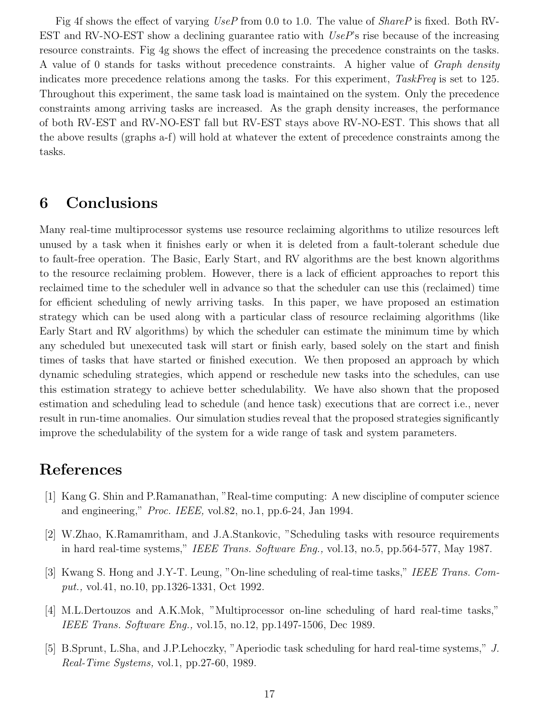Fig 4f shows the effect of varying UseP from 0.0 to 1.0. The value of ShareP is fixed. Both RV-EST and RV-NO-EST show a declining guarantee ratio with  $UseP$ 's rise because of the increasing resource constraints. Fig 4g shows the effect of increasing the precedence constraints on the tasks. A value of 0 stands for tasks without precedence constraints. A higher value of Graph density indicates more precedence relations among the tasks. For this experiment, TaskFreq is set to 125. Throughout this experiment, the same task load is maintained on the system. Only the precedence constraints among arriving tasks are increased. As the graph density increases, the performance of both RV-EST and RV-NO-EST fall but RV-EST stays above RV-NO-EST. This shows that all the above results (graphs a-f) will hold at whatever the extent of precedence constraints among the tasks.

# **6 Conclusions**

Many real-time multiprocessor systems use resource reclaiming algorithms to utilize resources left unused by a task when it finishes early or when it is deleted from a fault-tolerant schedule due to fault-free operation. The Basic, Early Start, and RV algorithms are the best known algorithms to the resource reclaiming problem. However, there is a lack of efficient approaches to report this reclaimed time to the scheduler well in advance so that the scheduler can use this (reclaimed) time for efficient scheduling of newly arriving tasks. In this paper, we have proposed an estimation strategy which can be used along with a particular class of resource reclaiming algorithms (like Early Start and RV algorithms) by which the scheduler can estimate the minimum time by which any scheduled but unexecuted task will start or finish early, based solely on the start and finish times of tasks that have started or finished execution. We then proposed an approach by which dynamic scheduling strategies, which append or reschedule new tasks into the schedules, can use this estimation strategy to achieve better schedulability. We have also shown that the proposed estimation and scheduling lead to schedule (and hence task) executions that are correct i.e., never result in run-time anomalies. Our simulation studies reveal that the proposed strategies significantly improve the schedulability of the system for a wide range of task and system parameters.

# **References**

- [1] Kang G. Shin and P.Ramanathan, "Real-time computing: A new discipline of computer science and engineering," Proc. IEEE, vol.82, no.1, pp.6-24, Jan 1994.
- [2] W.Zhao, K.Ramamritham, and J.A.Stankovic, "Scheduling tasks with resource requirements in hard real-time systems," IEEE Trans. Software Eng., vol.13, no.5, pp.564-577, May 1987.
- [3] Kwang S. Hong and J.Y-T. Leung, "On-line scheduling of real-time tasks," IEEE Trans. Comput., vol.41, no.10, pp.1326-1331, Oct 1992.
- [4] M.L.Dertouzos and A.K.Mok, "Multiprocessor on-line scheduling of hard real-time tasks," IEEE Trans. Software Eng., vol.15, no.12, pp.1497-1506, Dec 1989.
- [5] B.Sprunt, L.Sha, and J.P.Lehoczky, "Aperiodic task scheduling for hard real-time systems," J. Real-Time Systems, vol.1, pp.27-60, 1989.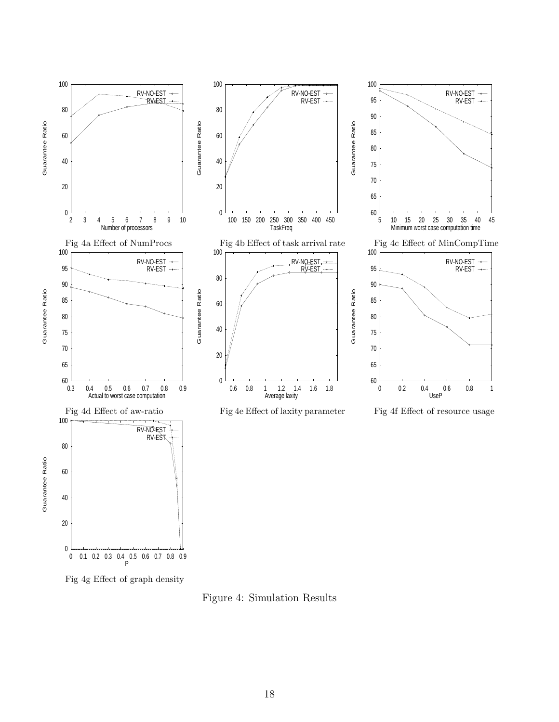

Figure 4: Simulation Results